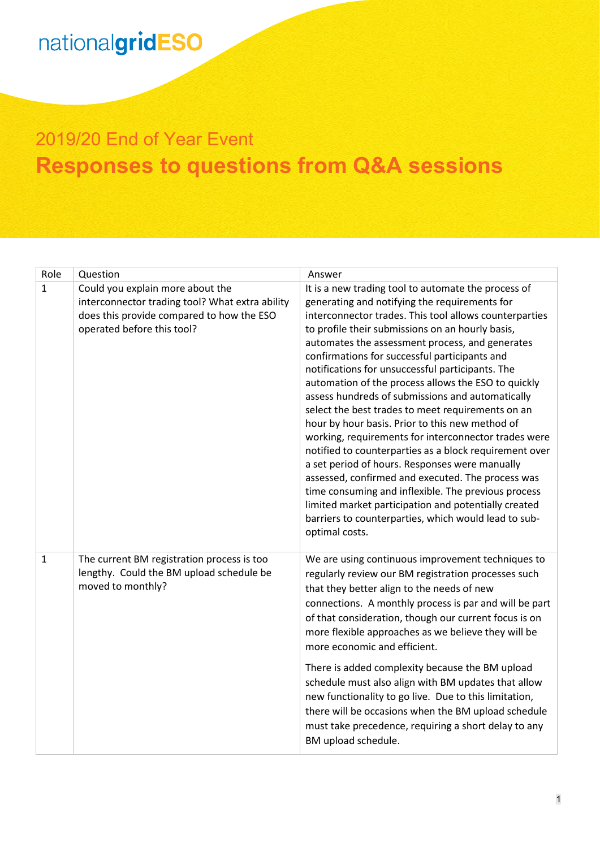#### 2019/20 End of Year Event **Responses to questions from Q&A sessions**

| Role           | Question                                                                                                                                                       | Answer                                                                                                                                                                                                                                                                                                                                                                                                                                                                                                                                                                                                                                                                                                                                                                                                                                                                                                                                                                                                          |
|----------------|----------------------------------------------------------------------------------------------------------------------------------------------------------------|-----------------------------------------------------------------------------------------------------------------------------------------------------------------------------------------------------------------------------------------------------------------------------------------------------------------------------------------------------------------------------------------------------------------------------------------------------------------------------------------------------------------------------------------------------------------------------------------------------------------------------------------------------------------------------------------------------------------------------------------------------------------------------------------------------------------------------------------------------------------------------------------------------------------------------------------------------------------------------------------------------------------|
| $\overline{1}$ | Could you explain more about the<br>interconnector trading tool? What extra ability<br>does this provide compared to how the ESO<br>operated before this tool? | It is a new trading tool to automate the process of<br>generating and notifying the requirements for<br>interconnector trades. This tool allows counterparties<br>to profile their submissions on an hourly basis,<br>automates the assessment process, and generates<br>confirmations for successful participants and<br>notifications for unsuccessful participants. The<br>automation of the process allows the ESO to quickly<br>assess hundreds of submissions and automatically<br>select the best trades to meet requirements on an<br>hour by hour basis. Prior to this new method of<br>working, requirements for interconnector trades were<br>notified to counterparties as a block requirement over<br>a set period of hours. Responses were manually<br>assessed, confirmed and executed. The process was<br>time consuming and inflexible. The previous process<br>limited market participation and potentially created<br>barriers to counterparties, which would lead to sub-<br>optimal costs. |
| $\mathbf{1}$   | The current BM registration process is too<br>lengthy. Could the BM upload schedule be<br>moved to monthly?                                                    | We are using continuous improvement techniques to<br>regularly review our BM registration processes such<br>that they better align to the needs of new<br>connections. A monthly process is par and will be part<br>of that consideration, though our current focus is on<br>more flexible approaches as we believe they will be<br>more economic and efficient.<br>There is added complexity because the BM upload<br>schedule must also align with BM updates that allow<br>new functionality to go live. Due to this limitation,<br>there will be occasions when the BM upload schedule<br>must take precedence, requiring a short delay to any<br>BM upload schedule.                                                                                                                                                                                                                                                                                                                                       |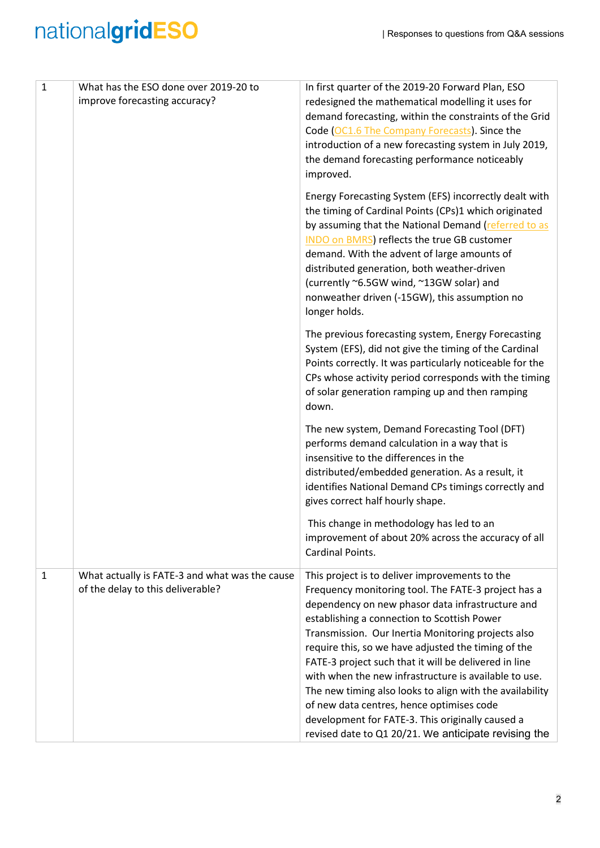| $\mathbf{1}$ | What has the ESO done over 2019-20 to<br>improve forecasting accuracy?              | In first quarter of the 2019-20 Forward Plan, ESO<br>redesigned the mathematical modelling it uses for<br>demand forecasting, within the constraints of the Grid<br>Code (OC1.6 The Company Forecasts). Since the<br>introduction of a new forecasting system in July 2019,<br>the demand forecasting performance noticeably<br>improved.                                                                                                                                                                                                                                                                                                                    |
|--------------|-------------------------------------------------------------------------------------|--------------------------------------------------------------------------------------------------------------------------------------------------------------------------------------------------------------------------------------------------------------------------------------------------------------------------------------------------------------------------------------------------------------------------------------------------------------------------------------------------------------------------------------------------------------------------------------------------------------------------------------------------------------|
|              |                                                                                     | Energy Forecasting System (EFS) incorrectly dealt with<br>the timing of Cardinal Points (CPs)1 which originated<br>by assuming that the National Demand (referred to as<br>INDO on BMRS) reflects the true GB customer<br>demand. With the advent of large amounts of<br>distributed generation, both weather-driven<br>(currently ~6.5GW wind, ~13GW solar) and<br>nonweather driven (-15GW), this assumption no<br>longer holds.                                                                                                                                                                                                                           |
|              |                                                                                     | The previous forecasting system, Energy Forecasting<br>System (EFS), did not give the timing of the Cardinal<br>Points correctly. It was particularly noticeable for the<br>CPs whose activity period corresponds with the timing<br>of solar generation ramping up and then ramping<br>down.                                                                                                                                                                                                                                                                                                                                                                |
|              |                                                                                     | The new system, Demand Forecasting Tool (DFT)<br>performs demand calculation in a way that is<br>insensitive to the differences in the<br>distributed/embedded generation. As a result, it<br>identifies National Demand CPs timings correctly and<br>gives correct half hourly shape.                                                                                                                                                                                                                                                                                                                                                                       |
|              |                                                                                     | This change in methodology has led to an<br>improvement of about 20% across the accuracy of all<br>Cardinal Points.                                                                                                                                                                                                                                                                                                                                                                                                                                                                                                                                          |
| $\mathbf{1}$ | What actually is FATE-3 and what was the cause<br>of the delay to this deliverable? | This project is to deliver improvements to the<br>Frequency monitoring tool. The FATE-3 project has a<br>dependency on new phasor data infrastructure and<br>establishing a connection to Scottish Power<br>Transmission. Our Inertia Monitoring projects also<br>require this, so we have adjusted the timing of the<br>FATE-3 project such that it will be delivered in line<br>with when the new infrastructure is available to use.<br>The new timing also looks to align with the availability<br>of new data centres, hence optimises code<br>development for FATE-3. This originally caused a<br>revised date to Q1 20/21. We anticipate revising the |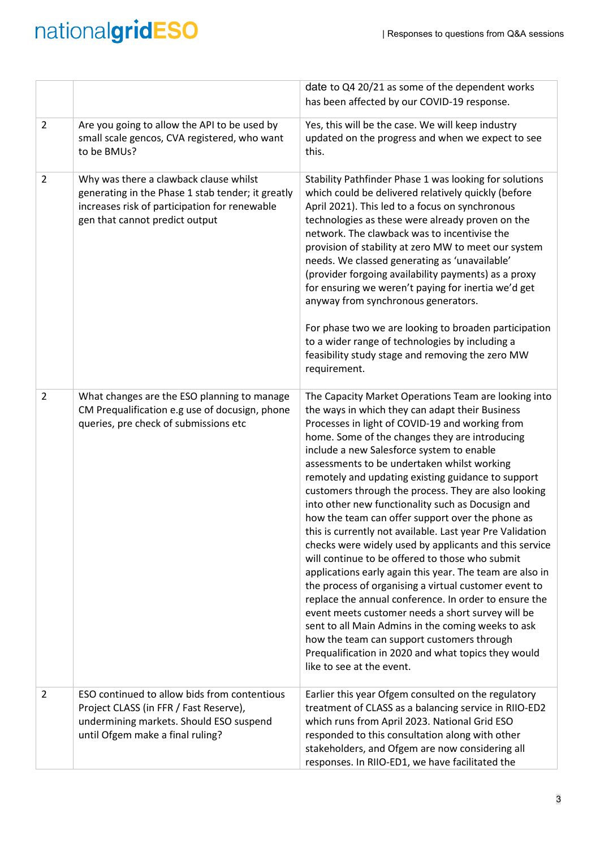|                |                                                                                                                                                                                | date to Q4 20/21 as some of the dependent works<br>has been affected by our COVID-19 response.                                                                                                                                                                                                                                                                                                                                                                                                                                                                                                                                                                                                                                                                                                                                                                                                                                                                                                                                                                                                                                       |
|----------------|--------------------------------------------------------------------------------------------------------------------------------------------------------------------------------|--------------------------------------------------------------------------------------------------------------------------------------------------------------------------------------------------------------------------------------------------------------------------------------------------------------------------------------------------------------------------------------------------------------------------------------------------------------------------------------------------------------------------------------------------------------------------------------------------------------------------------------------------------------------------------------------------------------------------------------------------------------------------------------------------------------------------------------------------------------------------------------------------------------------------------------------------------------------------------------------------------------------------------------------------------------------------------------------------------------------------------------|
| $\overline{2}$ | Are you going to allow the API to be used by<br>small scale gencos, CVA registered, who want<br>to be BMUs?                                                                    | Yes, this will be the case. We will keep industry<br>updated on the progress and when we expect to see<br>this.                                                                                                                                                                                                                                                                                                                                                                                                                                                                                                                                                                                                                                                                                                                                                                                                                                                                                                                                                                                                                      |
| 2              | Why was there a clawback clause whilst<br>generating in the Phase 1 stab tender; it greatly<br>increases risk of participation for renewable<br>gen that cannot predict output | Stability Pathfinder Phase 1 was looking for solutions<br>which could be delivered relatively quickly (before<br>April 2021). This led to a focus on synchronous<br>technologies as these were already proven on the<br>network. The clawback was to incentivise the<br>provision of stability at zero MW to meet our system<br>needs. We classed generating as 'unavailable'<br>(provider forgoing availability payments) as a proxy<br>for ensuring we weren't paying for inertia we'd get<br>anyway from synchronous generators.<br>For phase two we are looking to broaden participation<br>to a wider range of technologies by including a<br>feasibility study stage and removing the zero MW<br>requirement.                                                                                                                                                                                                                                                                                                                                                                                                                  |
| 2              | What changes are the ESO planning to manage<br>CM Prequalification e.g use of docusign, phone<br>queries, pre check of submissions etc                                         | The Capacity Market Operations Team are looking into<br>the ways in which they can adapt their Business<br>Processes in light of COVID-19 and working from<br>home. Some of the changes they are introducing<br>include a new Salesforce system to enable<br>assessments to be undertaken whilst working<br>remotely and updating existing guidance to support<br>customers through the process. They are also looking<br>into other new functionality such as Docusign and<br>how the team can offer support over the phone as<br>this is currently not available. Last year Pre Validation<br>checks were widely used by applicants and this service<br>will continue to be offered to those who submit<br>applications early again this year. The team are also in<br>the process of organising a virtual customer event to<br>replace the annual conference. In order to ensure the<br>event meets customer needs a short survey will be<br>sent to all Main Admins in the coming weeks to ask<br>how the team can support customers through<br>Prequalification in 2020 and what topics they would<br>like to see at the event. |
| $\overline{2}$ | ESO continued to allow bids from contentious<br>Project CLASS (in FFR / Fast Reserve),<br>undermining markets. Should ESO suspend<br>until Ofgem make a final ruling?          | Earlier this year Ofgem consulted on the regulatory<br>treatment of CLASS as a balancing service in RIIO-ED2<br>which runs from April 2023. National Grid ESO<br>responded to this consultation along with other<br>stakeholders, and Ofgem are now considering all<br>responses. In RIIO-ED1, we have facilitated the                                                                                                                                                                                                                                                                                                                                                                                                                                                                                                                                                                                                                                                                                                                                                                                                               |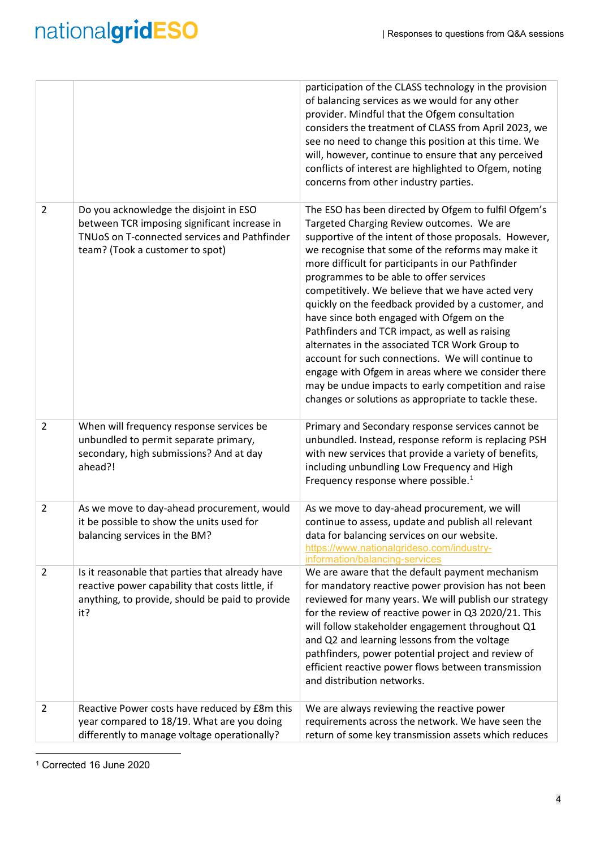|                |                                                                                                                                                                           | participation of the CLASS technology in the provision<br>of balancing services as we would for any other<br>provider. Mindful that the Ofgem consultation<br>considers the treatment of CLASS from April 2023, we<br>see no need to change this position at this time. We<br>will, however, continue to ensure that any perceived<br>conflicts of interest are highlighted to Ofgem, noting<br>concerns from other industry parties.                                                                                                                                                                                                                                                                                                                                                                  |
|----------------|---------------------------------------------------------------------------------------------------------------------------------------------------------------------------|--------------------------------------------------------------------------------------------------------------------------------------------------------------------------------------------------------------------------------------------------------------------------------------------------------------------------------------------------------------------------------------------------------------------------------------------------------------------------------------------------------------------------------------------------------------------------------------------------------------------------------------------------------------------------------------------------------------------------------------------------------------------------------------------------------|
| $\overline{2}$ | Do you acknowledge the disjoint in ESO<br>between TCR imposing significant increase in<br>TNUoS on T-connected services and Pathfinder<br>team? (Took a customer to spot) | The ESO has been directed by Ofgem to fulfil Ofgem's<br>Targeted Charging Review outcomes. We are<br>supportive of the intent of those proposals. However,<br>we recognise that some of the reforms may make it<br>more difficult for participants in our Pathfinder<br>programmes to be able to offer services<br>competitively. We believe that we have acted very<br>quickly on the feedback provided by a customer, and<br>have since both engaged with Ofgem on the<br>Pathfinders and TCR impact, as well as raising<br>alternates in the associated TCR Work Group to<br>account for such connections. We will continue to<br>engage with Ofgem in areas where we consider there<br>may be undue impacts to early competition and raise<br>changes or solutions as appropriate to tackle these. |
| $\overline{2}$ | When will frequency response services be<br>unbundled to permit separate primary,<br>secondary, high submissions? And at day<br>ahead?!                                   | Primary and Secondary response services cannot be<br>unbundled. Instead, response reform is replacing PSH<br>with new services that provide a variety of benefits,<br>including unbundling Low Frequency and High<br>Frequency response where possible. <sup>1</sup>                                                                                                                                                                                                                                                                                                                                                                                                                                                                                                                                   |
| $\overline{2}$ | As we move to day-ahead procurement, would<br>it be possible to show the units used for<br>balancing services in the BM?                                                  | As we move to day-ahead procurement, we will<br>continue to assess, update and publish all relevant<br>data for balancing services on our website.<br>https://www.nationalgrideso.com/industry-<br>information/balancing-services                                                                                                                                                                                                                                                                                                                                                                                                                                                                                                                                                                      |
| $\overline{2}$ | Is it reasonable that parties that already have<br>reactive power capability that costs little, if<br>anything, to provide, should be paid to provide<br>it?              | We are aware that the default payment mechanism<br>for mandatory reactive power provision has not been<br>reviewed for many years. We will publish our strategy<br>for the review of reactive power in Q3 2020/21. This<br>will follow stakeholder engagement throughout Q1<br>and Q2 and learning lessons from the voltage<br>pathfinders, power potential project and review of<br>efficient reactive power flows between transmission<br>and distribution networks.                                                                                                                                                                                                                                                                                                                                 |
| $\overline{2}$ | Reactive Power costs have reduced by £8m this<br>year compared to 18/19. What are you doing<br>differently to manage voltage operationally?                               | We are always reviewing the reactive power<br>requirements across the network. We have seen the<br>return of some key transmission assets which reduces                                                                                                                                                                                                                                                                                                                                                                                                                                                                                                                                                                                                                                                |

<span id="page-3-0"></span>1 Corrected <sup>16</sup> June <sup>2020</sup>